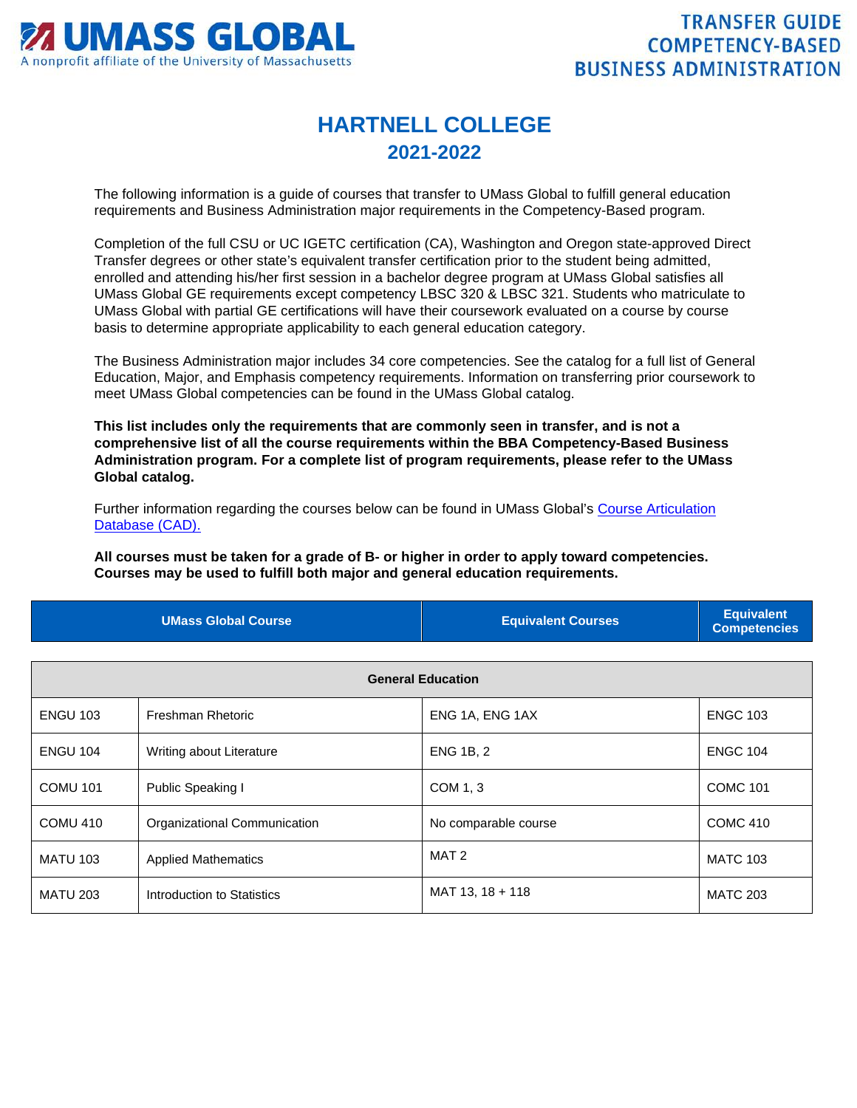

## **HARTNELL COLLEGE 2021-2022**

The following information is a guide of courses that transfer to UMass Global to fulfill general education requirements and Business Administration major requirements in the Competency-Based program.

Completion of the full CSU or UC IGETC certification (CA), Washington and Oregon state-approved Direct Transfer degrees or other state's equivalent transfer certification prior to the student being admitted, enrolled and attending his/her first session in a bachelor degree program at UMass Global satisfies all UMass Global GE requirements except competency LBSC 320 & LBSC 321. Students who matriculate to UMass Global with partial GE certifications will have their coursework evaluated on a course by course basis to determine appropriate applicability to each general education category.

The Business Administration major includes 34 core competencies. See the catalog for a full list of General Education, Major, and Emphasis competency requirements. Information on transferring prior coursework to meet UMass Global competencies can be found in the UMass Global catalog.

**This list includes only the requirements that are commonly seen in transfer, and is not a comprehensive list of all the course requirements within the BBA Competency-Based Business Administration program. For a complete list of program requirements, please refer to the UMass Global catalog.**

Further information regarding the courses below can be found in UMass Global's [Course Articulation](http://services.umassglobal.edu/studentservices/TransferCredit/)  [Database \(CAD\).](http://services.umassglobal.edu/studentservices/TransferCredit/) 

**All courses must be taken for a grade of B- or higher in order to apply toward competencies. Courses may be used to fulfill both major and general education requirements.** 

| <b>UMass Global Course</b> | <b>Equivalent Courses</b> | <b>Equivalent</b><br><b>Competencies</b> |
|----------------------------|---------------------------|------------------------------------------|
|                            |                           |                                          |

| <b>General Education</b> |                              |                      |                 |
|--------------------------|------------------------------|----------------------|-----------------|
| <b>ENGU 103</b>          | Freshman Rhetoric            | ENG 1A, ENG 1AX      | <b>ENGC 103</b> |
| <b>ENGU 104</b>          | Writing about Literature     | <b>ENG 1B, 2</b>     | <b>ENGC 104</b> |
| <b>COMU 101</b>          | Public Speaking I            | COM 1, 3             | <b>COMC 101</b> |
| COMU 410                 | Organizational Communication | No comparable course | <b>COMC 410</b> |
| <b>MATU 103</b>          | <b>Applied Mathematics</b>   | MAT 2                | <b>MATC 103</b> |
| <b>MATU 203</b>          | Introduction to Statistics   | MAT 13, 18 + 118     | <b>MATC 203</b> |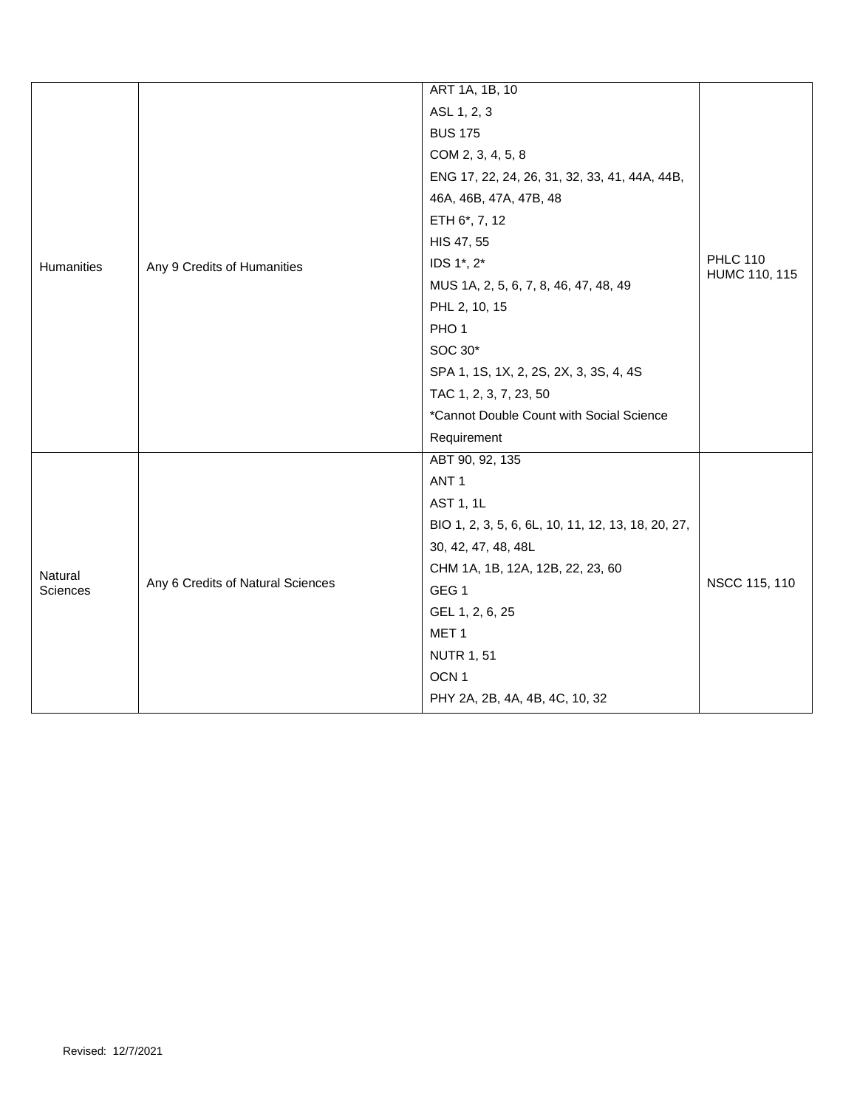|            |                                   | ART 1A, 1B, 10                                     |                                  |
|------------|-----------------------------------|----------------------------------------------------|----------------------------------|
|            | Any 9 Credits of Humanities       | ASL 1, 2, 3                                        | <b>PHLC 110</b><br>HUMC 110, 115 |
|            |                                   | <b>BUS 175</b>                                     |                                  |
|            |                                   | COM 2, 3, 4, 5, 8                                  |                                  |
|            |                                   | ENG 17, 22, 24, 26, 31, 32, 33, 41, 44A, 44B,      |                                  |
|            |                                   | 46A, 46B, 47A, 47B, 48                             |                                  |
|            |                                   | ETH 6*, 7, 12                                      |                                  |
|            |                                   | HIS 47, 55                                         |                                  |
| Humanities |                                   | IDS 1*, 2*                                         |                                  |
|            |                                   | MUS 1A, 2, 5, 6, 7, 8, 46, 47, 48, 49              |                                  |
|            |                                   | PHL 2, 10, 15                                      |                                  |
|            |                                   | PHO <sub>1</sub>                                   |                                  |
|            |                                   | SOC 30*                                            |                                  |
|            |                                   | SPA 1, 1S, 1X, 2, 2S, 2X, 3, 3S, 4, 4S             |                                  |
|            |                                   | TAC 1, 2, 3, 7, 23, 50                             |                                  |
|            |                                   | *Cannot Double Count with Social Science           |                                  |
|            |                                   | Requirement                                        |                                  |
|            |                                   | ABT 90, 92, 135                                    |                                  |
|            |                                   | ANT <sub>1</sub>                                   |                                  |
|            |                                   | AST 1, 1L                                          |                                  |
|            |                                   | BIO 1, 2, 3, 5, 6, 6L, 10, 11, 12, 13, 18, 20, 27, |                                  |
|            |                                   | 30, 42, 47, 48, 48L                                |                                  |
| Natural    |                                   | CHM 1A, 1B, 12A, 12B, 22, 23, 60                   | NSCC 115, 110                    |
| Sciences   | Any 6 Credits of Natural Sciences | GEG <sub>1</sub>                                   |                                  |
|            |                                   | GEL 1, 2, 6, 25                                    |                                  |
|            |                                   | MET <sub>1</sub>                                   |                                  |
|            |                                   | <b>NUTR 1, 51</b>                                  |                                  |
|            |                                   | OCN <sub>1</sub>                                   |                                  |
|            |                                   | PHY 2A, 2B, 4A, 4B, 4C, 10, 32                     |                                  |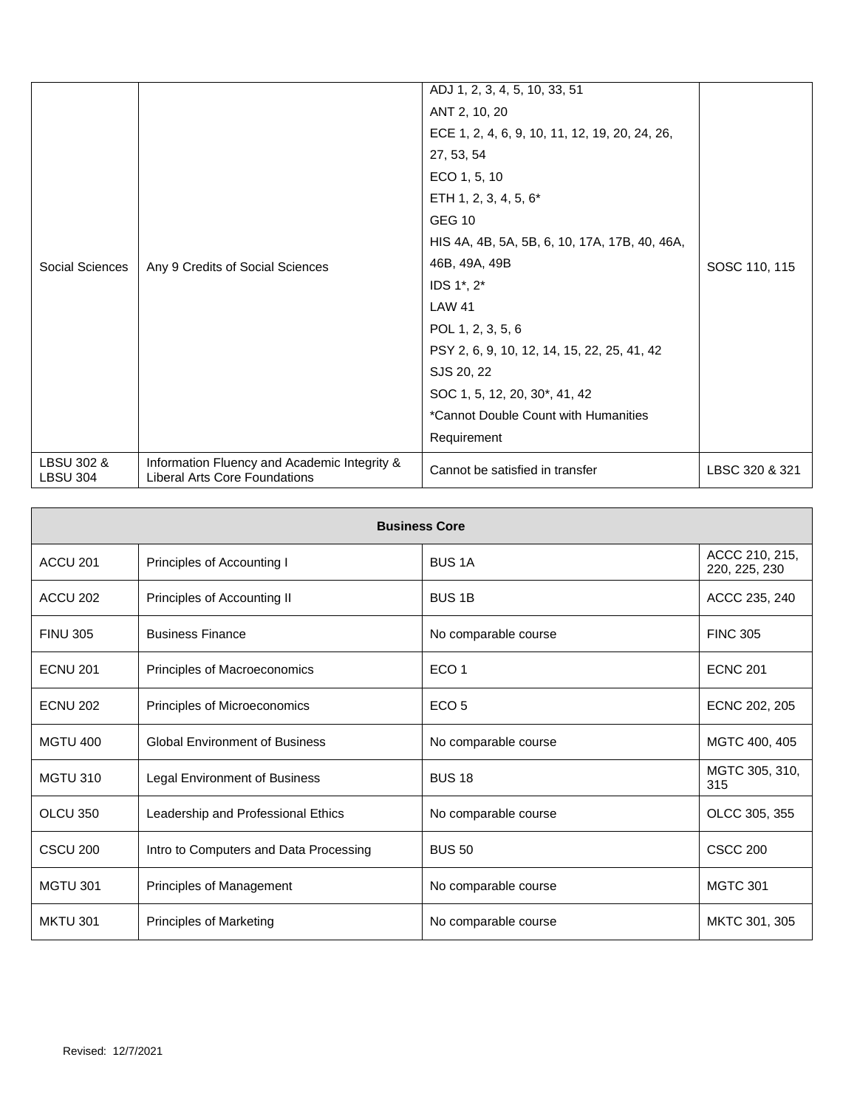| LBSU 302 &<br><b>LBSU 304</b> | Information Fluency and Academic Integrity &<br>Liberal Arts Core Foundations | Cannot be satisfied in transfer                | LBSC 320 & 321 |
|-------------------------------|-------------------------------------------------------------------------------|------------------------------------------------|----------------|
|                               |                                                                               | Requirement                                    |                |
| Social Sciences               |                                                                               | *Cannot Double Count with Humanities           |                |
|                               |                                                                               | SOC 1, 5, 12, 20, 30*, 41, 42                  |                |
|                               |                                                                               | SJS 20, 22                                     |                |
|                               | Any 9 Credits of Social Sciences                                              | PSY 2, 6, 9, 10, 12, 14, 15, 22, 25, 41, 42    | SOSC 110, 115  |
|                               |                                                                               | POL 1, 2, 3, 5, 6                              |                |
|                               |                                                                               | <b>LAW 41</b>                                  |                |
|                               |                                                                               | IDS 1*, 2*                                     |                |
|                               |                                                                               | 46B, 49A, 49B                                  |                |
|                               |                                                                               | HIS 4A, 4B, 5A, 5B, 6, 10, 17A, 17B, 40, 46A,  |                |
|                               |                                                                               | <b>GEG 10</b>                                  |                |
|                               |                                                                               | ETH 1, 2, 3, 4, 5, 6*                          |                |
|                               |                                                                               | ECO 1, 5, 10                                   |                |
|                               |                                                                               | 27, 53, 54                                     |                |
|                               |                                                                               | ECE 1, 2, 4, 6, 9, 10, 11, 12, 19, 20, 24, 26, |                |
|                               |                                                                               | ANT 2, 10, 20                                  |                |
|                               |                                                                               | ADJ 1, 2, 3, 4, 5, 10, 33, 51                  |                |

| <b>Business Core</b> |                                        |                      |                                 |
|----------------------|----------------------------------------|----------------------|---------------------------------|
| ACCU <sub>201</sub>  | Principles of Accounting I             | <b>BUS1A</b>         | ACCC 210, 215,<br>220, 225, 230 |
| ACCU 202             | Principles of Accounting II            | <b>BUS 1B</b>        | ACCC 235, 240                   |
| <b>FINU 305</b>      | <b>Business Finance</b>                | No comparable course | <b>FINC 305</b>                 |
| <b>ECNU 201</b>      | Principles of Macroeconomics           | ECO <sub>1</sub>     | <b>ECNC 201</b>                 |
| <b>ECNU 202</b>      | Principles of Microeconomics           | ECO <sub>5</sub>     | ECNC 202, 205                   |
| <b>MGTU 400</b>      | <b>Global Environment of Business</b>  | No comparable course | MGTC 400, 405                   |
| <b>MGTU 310</b>      | Legal Environment of Business          | <b>BUS 18</b>        | MGTC 305, 310,<br>315           |
| OLCU 350             | Leadership and Professional Ethics     | No comparable course | OLCC 305, 355                   |
| <b>CSCU 200</b>      | Intro to Computers and Data Processing | <b>BUS 50</b>        | <b>CSCC 200</b>                 |
| <b>MGTU 301</b>      | Principles of Management               | No comparable course | <b>MGTC 301</b>                 |
| <b>MKTU 301</b>      | <b>Principles of Marketing</b>         | No comparable course | MKTC 301, 305                   |